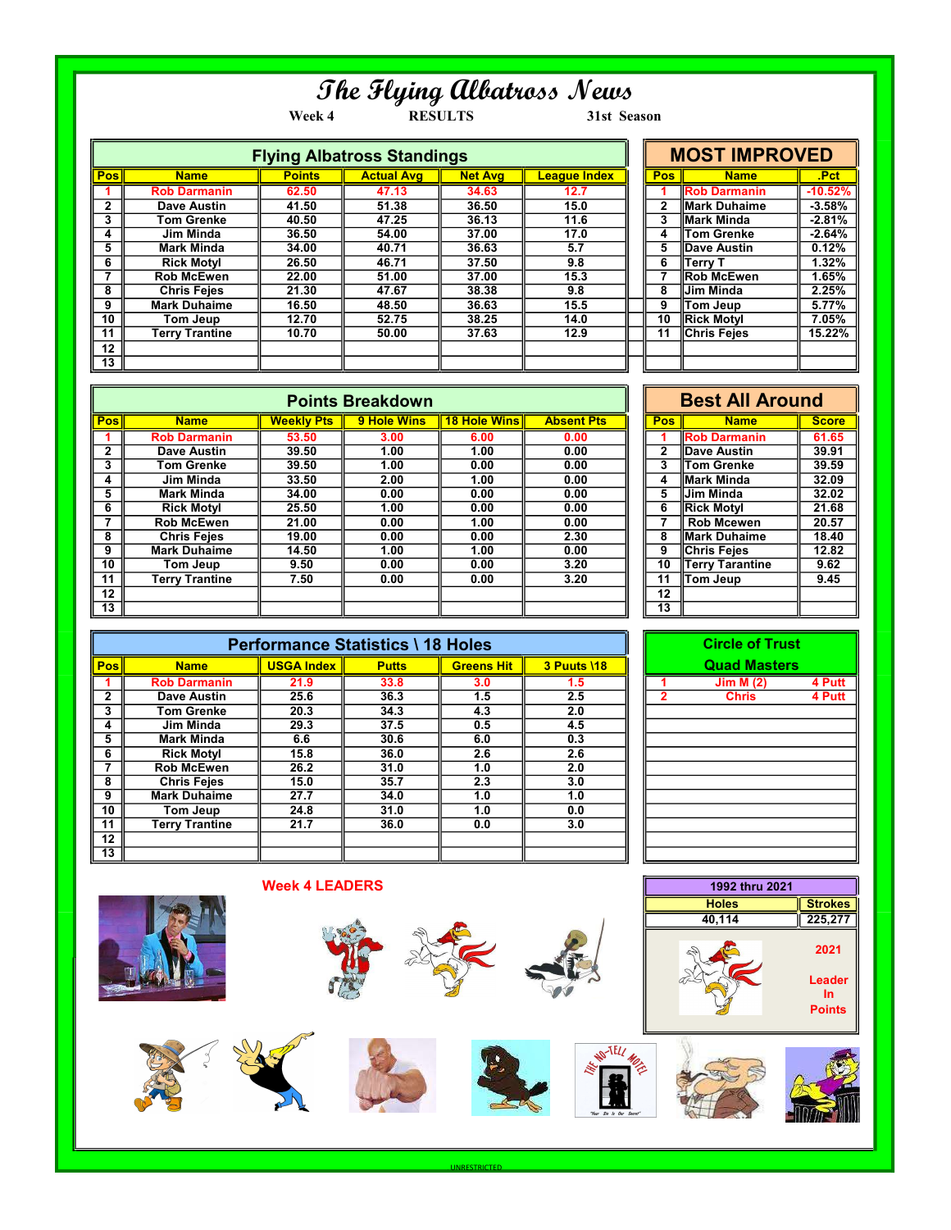## The Flying Albatross News

Week 4 RESULTS 31st Season

| <b>Flying Albatross Standings</b> |                       |               |                   |                |                     |            | <b>MOST IMPROVED</b> |           |  |
|-----------------------------------|-----------------------|---------------|-------------------|----------------|---------------------|------------|----------------------|-----------|--|
| Pos                               | <b>Name</b>           | <b>Points</b> | <b>Actual Avg</b> | <b>Net Avg</b> | <b>League Index</b> | <b>Pos</b> | <b>Name</b>          | .Pct      |  |
|                                   | <b>Rob Darmanin</b>   | 62.50         | 47.13             | 34.63          | 12.7                |            | <b>Rob Darmanin</b>  | $-10.52%$ |  |
| 2                                 | <b>Dave Austin</b>    | 41.50         | 51.38             | 36.50          | 15.0                | 2          | <b>IMark Duhaime</b> | $-3.58%$  |  |
|                                   | <b>Tom Grenke</b>     | 40.50         | 47.25             | 36.13          | 11.6                | 3          | <b>IMark Minda</b>   | $-2.81%$  |  |
| 4                                 | Jim Minda             | 36.50         | 54.00             | 37.00          | 17.0                | 4          | ∥Tom Grenke          | $-2.64%$  |  |
| 5                                 | <b>Mark Minda</b>     | 34.00         | 40.71             | 36.63          | 5.7                 | 5          | <b>Dave Austin</b>   | 0.12%     |  |
| 6                                 | <b>Rick Motyl</b>     | 26.50         | 46.71             | 37.50          | 9.8                 | 6          | Terrv T              | 1.32%     |  |
|                                   | <b>Rob McEwen</b>     | 22.00         | 51.00             | 37.00          | 15.3                |            | <b>IRob McEwen</b>   | 1.65%     |  |
| 8                                 | <b>Chris Fejes</b>    | 21.30         | 47.67             | 38.38          | 9.8                 | 8          | <b>Uim Minda</b>     | 2.25%     |  |
| 9                                 | <b>Mark Duhaime</b>   | 16.50         | 48.50             | 36.63          | 15.5                | 9          | Tom Jeup             | 5.77%     |  |
| 10                                | Tom Jeup              | 12.70         | 52.75             | 38.25          | 14.0                | 10         | <b>IRick Motvl</b>   | 7.05%     |  |
| 11                                | <b>Terry Trantine</b> | 10.70         | 50.00             | 37.63          | 12.9                | 11         | <b>Chris Feles</b>   | 15.22%    |  |
| 12                                |                       |               |                   |                |                     |            |                      |           |  |
| 13                                |                       |               |                   |                |                     |            |                      |           |  |

| <b>MOST IMPROVED</b>    |                     |           |  |  |  |  |  |  |
|-------------------------|---------------------|-----------|--|--|--|--|--|--|
| <b>Pos</b>              | <b>Name</b>         |           |  |  |  |  |  |  |
| 1                       | <b>Rob Darmanin</b> | $-10.52%$ |  |  |  |  |  |  |
| $\overline{2}$          | <b>Mark Duhaime</b> | $-3.58%$  |  |  |  |  |  |  |
| $\overline{\mathbf{3}}$ | <b>Mark Minda</b>   | $-2.81%$  |  |  |  |  |  |  |
| 4                       | <b>Tom Grenke</b>   | $-2.64%$  |  |  |  |  |  |  |
| 5                       | <b>Dave Austin</b>  | 0.12%     |  |  |  |  |  |  |
| $\overline{6}$          | <b>Terry T</b>      | 1.32%     |  |  |  |  |  |  |
| 7                       | <b>Rob McEwen</b>   | 1.65%     |  |  |  |  |  |  |
| 8                       | Jim Minda           | 2.25%     |  |  |  |  |  |  |
| 9                       | <b>Tom Jeup</b>     | 5.77%     |  |  |  |  |  |  |
| $\overline{10}$         | <b>Rick Motyl</b>   | 7.05%     |  |  |  |  |  |  |
| 11                      | Chris Fejes         | 15.22%    |  |  |  |  |  |  |
|                         |                     |           |  |  |  |  |  |  |
|                         |                     |           |  |  |  |  |  |  |

| <b>Points Breakdown</b> |                       |                   |                   |              | <b>Best All Around</b> |              |                     |              |
|-------------------------|-----------------------|-------------------|-------------------|--------------|------------------------|--------------|---------------------|--------------|
| Pos                     | <b>Name</b>           | <b>Weekly Pts</b> | 9 Hole Wins       | 18 Hole Wins | <b>Absent Pts</b>      | <b>Pos</b>   | <b>Name</b>         | <b>Score</b> |
|                         | <b>Rob Darmanin</b>   | 53.50             | 3.00 <sub>1</sub> | 6.00         | 0.00                   |              | <b>Rob Darmanin</b> | 61.65        |
| $\mathbf{2}$            | <b>Dave Austin</b>    | 39.50             | 1.00              | 1.00         | 0.00                   | $\mathbf{2}$ | <b>Dave Austin</b>  | 39.91        |
| 3                       | Tom Grenke            | 39.50             | 1.00              | 0.00         | 0.00                   | 3            | ∥Tom Grenke         | 39.59        |
| 4                       | Jim Minda             | 33.50             | 2.00              | 1.00         | 0.00                   | 4            | ∥Mark Minda         | 32.09        |
| 5                       | <b>Mark Minda</b>     | 34.00             | 0.00              | 0.00         | 0.00                   | 5            | ∥Jim Minda          | 32.02        |
| 6                       | <b>Rick Motyl</b>     | 25.50             | 1.00              | 0.00         | 0.00                   | 6            | <b>IRick Motvl</b>  | 21.68        |
|                         | <b>Rob McEwen</b>     | 21.00             | 0.00              | 1.00         | 0.00                   |              | Rob Mcewen          | 20.57        |
| 8                       | <b>Chris Fejes</b>    | 19.00             | 0.00              | 0.00         | 2.30                   | 8            | ∥Mark Duhaime       | 18.40        |
| 9                       | <b>Mark Duhaime</b>   | 14.50             | 1.00              | 1.00         | 0.00                   | 9            | ∥Chris Fejes        | 12.82        |
| 10                      | Tom Jeup              | 9.50              | 0.00              | 0.00         | 3.20                   | 10           | Terry Tarantine     | 9.62         |
| 11                      | <b>Terry Trantine</b> | 7.50              | 0.00              | 0.00         | 3.20                   | 11           | $\ $ Tom Jeup       | 9.45         |
| 12                      |                       |                   |                   |              |                        | $12 \,$      |                     |              |
| $\overline{13}$         |                       |                   |                   |              |                        | 13           |                     |              |

| <b>Best All Around</b>  |                        |       |  |  |  |  |  |
|-------------------------|------------------------|-------|--|--|--|--|--|
| Pos                     | <b>Name</b>            |       |  |  |  |  |  |
|                         | <b>Rob Darmanin</b>    | 61.65 |  |  |  |  |  |
| $\overline{2}$          | <b>Dave Austin</b>     | 39.91 |  |  |  |  |  |
| 3                       | <b>Tom Grenke</b>      | 39.59 |  |  |  |  |  |
| $\overline{4}$          | <b>Mark Minda</b>      |       |  |  |  |  |  |
| $\overline{5}$          | Jim Minda              |       |  |  |  |  |  |
| 6                       | <b>Rick Motyl</b>      | 21.68 |  |  |  |  |  |
| $\overline{\mathbf{z}}$ | <b>Rob Mcewen</b>      | 20.57 |  |  |  |  |  |
| $\overline{\mathbf{8}}$ | <b>Mark Duhaime</b>    | 18.40 |  |  |  |  |  |
| 9                       | <b>Chris Fejes</b>     | 12.82 |  |  |  |  |  |
| 10                      | <b>Terry Tarantine</b> | 9.62  |  |  |  |  |  |
| $\overline{11}$         | Tom Jeup               |       |  |  |  |  |  |
| 12                      |                        |       |  |  |  |  |  |
| $\overline{13}$         |                        |       |  |  |  |  |  |

| <b>Performance Statistics \ 18 Holes</b> |                       |                   |              |                   |             | <b>Circle of Trust</b> |        |
|------------------------------------------|-----------------------|-------------------|--------------|-------------------|-------------|------------------------|--------|
| Posl                                     | <b>Name</b>           | <b>USGA Index</b> | <b>Putts</b> | <b>Greens Hit</b> | 3 Puuts \18 | <b>Quad Masters</b>    |        |
|                                          | <b>Rob Darmanin</b>   | 21.9              | 33.8         | 3.0               | 1.5         | Jim M(2)               | 4 Putt |
|                                          | Dave Austin           | 25.6              | 36.3         | 1.5               | 2.5         | <b>Chris</b>           | 4 Putt |
| 3                                        | Tom Grenke            | 20.3              | 34.3         | 4.3               | 2.0         |                        |        |
| 4                                        | Jim Minda             | 29.3              | 37.5         | 0.5               | 4.5         |                        |        |
| 5                                        | <b>Mark Minda</b>     | 6.6               | 30.6         | 6.0               | 0.3         |                        |        |
| 6                                        | <b>Rick Motyl</b>     | 15.8              | 36.0         | 2.6               | 2.6         |                        |        |
|                                          | <b>Rob McEwen</b>     | 26.2              | 31.0         | 1.0               | 2.0         |                        |        |
| 8                                        | <b>Chris Fejes</b>    | 15.0              | 35.7         | 2.3               | 3.0         |                        |        |
| 9                                        | <b>Mark Duhaime</b>   | 27.7              | 34.0         | 1.0               | 1.0         |                        |        |
| 10 <sup>1</sup>                          | Tom Jeup              | 24.8              | 31.0         | 1.0               | 0.0         |                        |        |
| 11 <sup>1</sup>                          | <b>Terry Trantine</b> | 21.7              | 36.0         | 0.0               | 3.0         |                        |        |
| 12 <sup>12</sup>                         |                       |                   |              |                   |             |                        |        |
| 13                                       |                       |                   |              |                   |             |                        |        |



**Strokes** 225,277 

Leader In Points